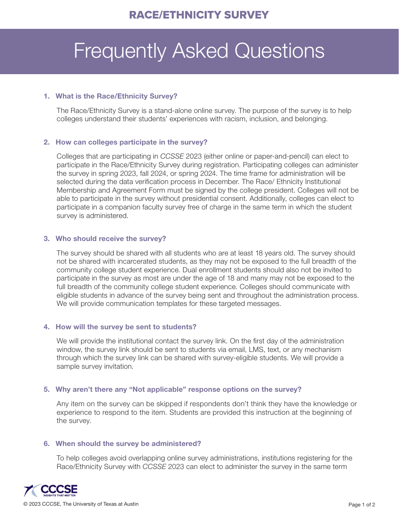# Frequently Asked Questions

#### 1. What is the Race/Ethnicity Survey?

The Race/Ethnicity Survey is a stand-alone online survey. The purpose of the survey is to help colleges understand their students' experiences with racism, inclusion, and belonging.

#### 2. How can colleges participate in the survey?

Colleges that are participating in *CCSSE* 2023 (either online or paper-and-pencil) can elect to participate in the Race/Ethnicity Survey during registration. Participating colleges can administer the survey in spring 2023, fall 2024, or spring 2024. The time frame for administration will be selected during the data verification process in December. The Race/ Ethnicity Institutional Membership and Agreement Form must be signed by the college president. Colleges will not be able to participate in the survey without presidential consent. Additionally, colleges can elect to participate in a companion faculty survey free of charge in the same term in which the student survey is administered.

### 3. Who should receive the survey?

The survey should be shared with all students who are at least 18 years old. The survey should not be shared with incarcerated students, as they may not be exposed to the full breadth of the community college student experience. Dual enrollment students should also not be invited to participate in the survey as most are under the age of 18 and many may not be exposed to the full breadth of the community college student experience. Colleges should communicate with eligible students in advance of the survey being sent and throughout the administration process. We will provide communication templates for these targeted messages.

## 4. How will the survey be sent to students?

We will provide the institutional contact the survey link. On the first day of the administration window, the survey link should be sent to students via email, LMS, text, or any mechanism through which the survey link can be shared with survey-eligible students. We will provide a sample survey invitation.

#### 5. Why aren't there any "Not applicable" response options on the survey?

Any item on the survey can be skipped if respondents don't think they have the knowledge or experience to respond to the item. Students are provided this instruction at the beginning of the survey.

#### 6. When should the survey be administered?

To help colleges avoid overlapping online survey administrations, institutions registering for the Race/Ethnicity Survey with *CCSSE* 2023 can elect to administer the survey in the same term